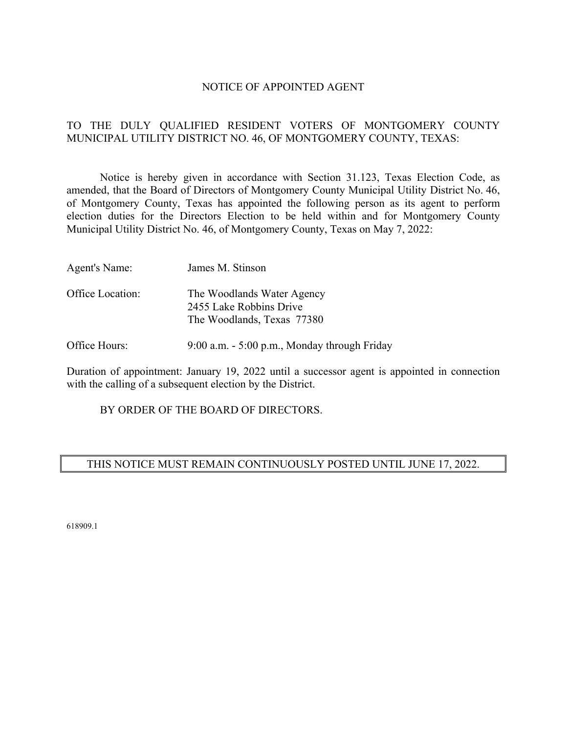#### NOTICE OF APPOINTED AGENT

# TO THE DULY QUALIFIED RESIDENT VOTERS OF MONTGOMERY COUNTY MUNICIPAL UTILITY DISTRICT NO. 46, OF MONTGOMERY COUNTY, TEXAS:

 Notice is hereby given in accordance with Section 31.123, Texas Election Code, as amended, that the Board of Directors of Montgomery County Municipal Utility District No. 46, of Montgomery County, Texas has appointed the following person as its agent to perform election duties for the Directors Election to be held within and for Montgomery County Municipal Utility District No. 46, of Montgomery County, Texas on May 7, 2022:

| Agent's Name:    | James M. Stinson                                                                    |
|------------------|-------------------------------------------------------------------------------------|
| Office Location: | The Woodlands Water Agency<br>2455 Lake Robbins Drive<br>The Woodlands, Texas 77380 |

Office Hours: 9:00 a.m. - 5:00 p.m., Monday through Friday

Duration of appointment: January 19, 2022 until a successor agent is appointed in connection with the calling of a subsequent election by the District.

BY ORDER OF THE BOARD OF DIRECTORS.

# THIS NOTICE MUST REMAIN CONTINUOUSLY POSTED UNTIL JUNE 17, 2022.

618909.1